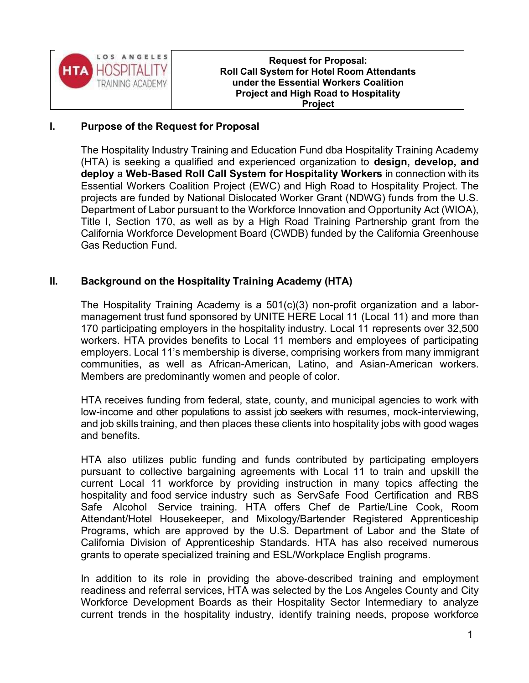

Request for Proposal: Roll Call System for Hotel Room Attendants under the Essential Workers Coalition Project and High Road to Hospitality Project

### I. Purpose of the Request for Proposal

The Hospitality Industry Training and Education Fund dba Hospitality Training Academy (HTA) is seeking a qualified and experienced organization to design, develop, and deploy a Web-Based Roll Call System for Hospitality Workers in connection with its Essential Workers Coalition Project (EWC) and High Road to Hospitality Project. The projects are funded by National Dislocated Worker Grant (NDWG) funds from the U.S. Department of Labor pursuant to the Workforce Innovation and Opportunity Act (WIOA), Title I, Section 170, as well as by a High Road Training Partnership grant from the California Workforce Development Board (CWDB) funded by the California Greenhouse Gas Reduction Fund.

## II. Background on the Hospitality Training Academy (HTA)

The Hospitality Training Academy is a 501(c)(3) non-profit organization and a labormanagement trust fund sponsored by UNITE HERE Local 11 (Local 11) and more than 170 participating employers in the hospitality industry. Local 11 represents over 32,500 workers. HTA provides benefits to Local 11 members and employees of participating employers. Local 11's membership is diverse, comprising workers from many immigrant communities, as well as African-American, Latino, and Asian-American workers. Members are predominantly women and people of color.

HTA receives funding from federal, state, county, and municipal agencies to work with low-income and other populations to assist job seekers with resumes, mock-interviewing, and job skills training, and then places these clients into hospitality jobs with good wages and benefits.

HTA also utilizes public funding and funds contributed by participating employers pursuant to collective bargaining agreements with Local 11 to train and upskill the current Local 11 workforce by providing instruction in many topics affecting the hospitality and food service industry such as ServSafe Food Certification and RBS Safe Alcohol Service training. HTA offers Chef de Partie/Line Cook, Room Attendant/Hotel Housekeeper, and Mixology/Bartender Registered Apprenticeship Programs, which are approved by the U.S. Department of Labor and the State of California Division of Apprenticeship Standards. HTA has also received numerous grants to operate specialized training and ESL/Workplace English programs.

In addition to its role in providing the above-described training and employment readiness and referral services, HTA was selected by the Los Angeles County and City Workforce Development Boards as their Hospitality Sector Intermediary to analyze current trends in the hospitality industry, identify training needs, propose workforce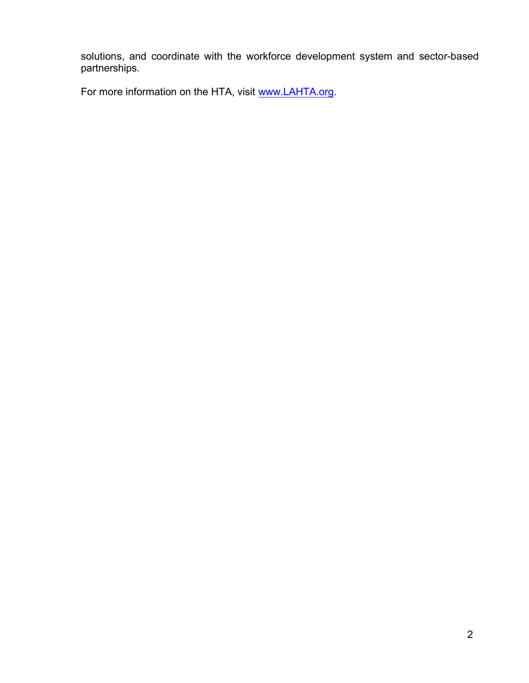solutions, and coordinate with the workforce development system and sector-based partnerships.

For more information on the HTA, visit www.LAHTA.org.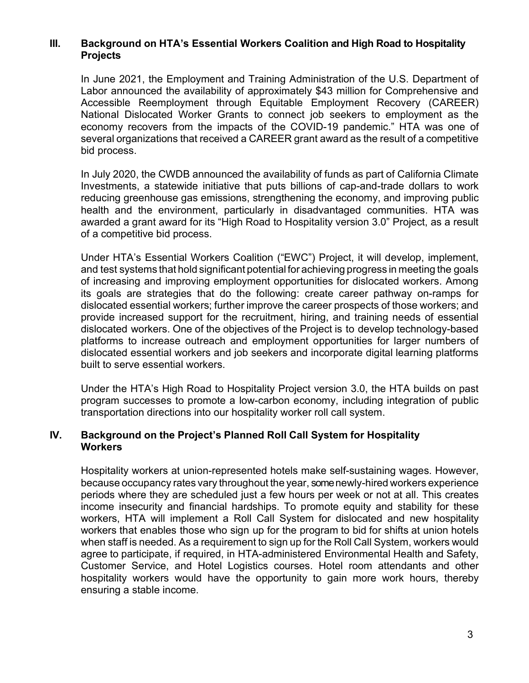### III. Background on HTA's Essential Workers Coalition and High Road to Hospitality Projects

In June 2021, the Employment and Training Administration of the U.S. Department of Labor announced the availability of approximately \$43 million for Comprehensive and Accessible Reemployment through Equitable Employment Recovery (CAREER) National Dislocated Worker Grants to connect job seekers to employment as the economy recovers from the impacts of the COVID-19 pandemic." HTA was one of several organizations that received a CAREER grant award as the result of a competitive bid process.

In July 2020, the CWDB announced the availability of funds as part of California Climate Investments, a statewide initiative that puts billions of cap-and-trade dollars to work reducing greenhouse gas emissions, strengthening the economy, and improving public health and the environment, particularly in disadvantaged communities. HTA was awarded a grant award for its "High Road to Hospitality version 3.0" Project, as a result of a competitive bid process.

Under HTA's Essential Workers Coalition ("EWC") Project, it will develop, implement, and test systems that hold significant potential for achieving progress in meeting the goals of increasing and improving employment opportunities for dislocated workers. Among its goals are strategies that do the following: create career pathway on-ramps for dislocated essential workers; further improve the career prospects of those workers; and provide increased support for the recruitment, hiring, and training needs of essential dislocated workers. One of the objectives of the Project is to develop technology-based platforms to increase outreach and employment opportunities for larger numbers of dislocated essential workers and job seekers and incorporate digital learning platforms built to serve essential workers.

Under the HTA's High Road to Hospitality Project version 3.0, the HTA builds on past program successes to promote a low-carbon economy, including integration of public transportation directions into our hospitality worker roll call system.

### IV. Background on the Project's Planned Roll Call System for Hospitality **Workers**

Hospitality workers at union-represented hotels make self-sustaining wages. However, because occupancy rates vary throughout the year, some newly-hired workers experience periods where they are scheduled just a few hours per week or not at all. This creates income insecurity and financial hardships. To promote equity and stability for these workers, HTA will implement a Roll Call System for dislocated and new hospitality workers that enables those who sign up for the program to bid for shifts at union hotels when staff is needed. As a requirement to sign up for the Roll Call System, workers would agree to participate, if required, in HTA-administered Environmental Health and Safety, Customer Service, and Hotel Logistics courses. Hotel room attendants and other hospitality workers would have the opportunity to gain more work hours, thereby ensuring a stable income.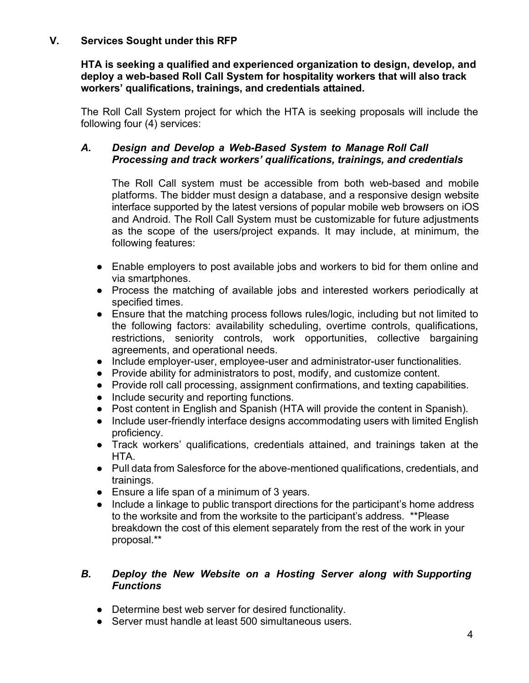## V. Services Sought under this RFP

HTA is seeking a qualified and experienced organization to design, develop, and deploy a web-based Roll Call System for hospitality workers that will also track workers' qualifications, trainings, and credentials attained.

The Roll Call System project for which the HTA is seeking proposals will include the following four (4) services:

## A. Design and Develop a Web-Based System to Manage Roll Call Processing and track workers' qualifications, trainings, and credentials

The Roll Call system must be accessible from both web-based and mobile platforms. The bidder must design a database, and a responsive design website interface supported by the latest versions of popular mobile web browsers on iOS and Android. The Roll Call System must be customizable for future adjustments as the scope of the users/project expands. It may include, at minimum, the following features:

- Enable employers to post available jobs and workers to bid for them online and via smartphones.
- Process the matching of available jobs and interested workers periodically at specified times.
- Ensure that the matching process follows rules/logic, including but not limited to the following factors: availability scheduling, overtime controls, qualifications, restrictions, seniority controls, work opportunities, collective bargaining agreements, and operational needs.
- Include employer-user, employee-user and administrator-user functionalities.
- Provide ability for administrators to post, modify, and customize content.
- Provide roll call processing, assignment confirmations, and texting capabilities.
- Include security and reporting functions.
- Post content in English and Spanish (HTA will provide the content in Spanish).
- Include user-friendly interface designs accommodating users with limited English proficiency.
- Track workers' qualifications, credentials attained, and trainings taken at the HTA.
- Pull data from Salesforce for the above-mentioned qualifications, credentials, and trainings.
- Ensure a life span of a minimum of 3 years.
- Include a linkage to public transport directions for the participant's home address to the worksite and from the worksite to the participant's address. \*\*Please breakdown the cost of this element separately from the rest of the work in your proposal.\*\*

## B. Deploy the New Website on a Hosting Server along with Supporting Functions

- Determine best web server for desired functionality.
- Server must handle at least 500 simultaneous users.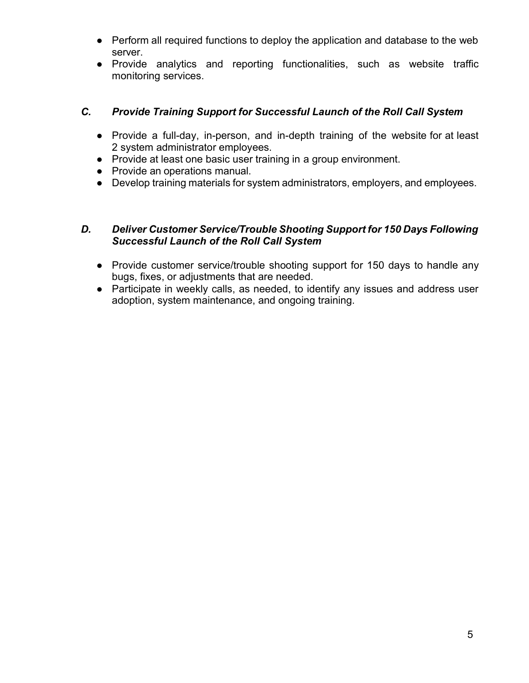- Perform all required functions to deploy the application and database to the web server.
- Provide analytics and reporting functionalities, such as website traffic monitoring services.

# C. Provide Training Support for Successful Launch of the Roll Call System

- Provide a full-day, in-person, and in-depth training of the website for at least 2 system administrator employees.
- Provide at least one basic user training in a group environment.
- Provide an operations manual.
- Develop training materials for system administrators, employers, and employees.

## D. Deliver Customer Service/Trouble Shooting Support for 150 Days Following Successful Launch of the Roll Call System

- Provide customer service/trouble shooting support for 150 days to handle any bugs, fixes, or adjustments that are needed.
- Participate in weekly calls, as needed, to identify any issues and address user adoption, system maintenance, and ongoing training.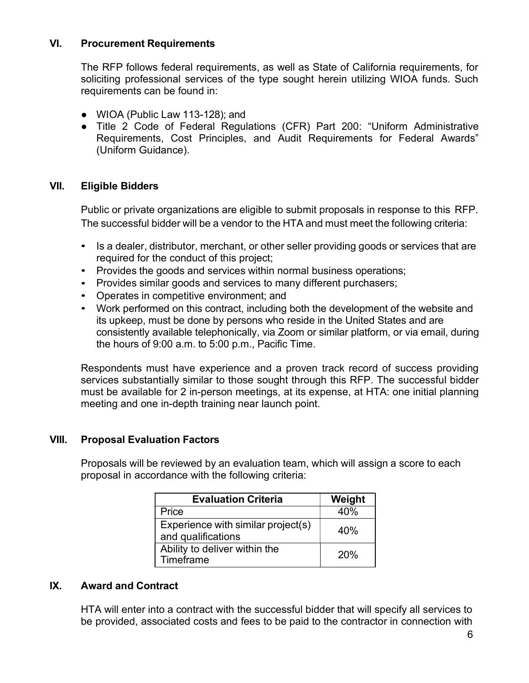### VI. Procurement Requirements

The RFP follows federal requirements, as well as State of California requirements, for soliciting professional services of the type sought herein utilizing WIOA funds. Such requirements can be found in:

- WIOA (Public Law 113-128); and
- Title 2 Code of Federal Regulations (CFR) Part 200: "Uniform Administrative Requirements, Cost Principles, and Audit Requirements for Federal Awards" (Uniform Guidance).

### VII. Eligible Bidders

Public or private organizations are eligible to submit proposals in response to this RFP. The successful bidder will be a vendor to the HTA and must meet the following criteria:

- Is a dealer, distributor, merchant, or other seller providing goods or services that are required for the conduct of this project;
- Provides the goods and services within normal business operations;
- Provides similar goods and services to many different purchasers;
- Operates in competitive environment; and
- Work performed on this contract, including both the development of the website and its upkeep, must be done by persons who reside in the United States and are consistently available telephonically, via Zoom or similar platform, or via email, during the hours of 9:00 a.m. to 5:00 p.m., Pacific Time.

Respondents must have experience and a proven track record of success providing services substantially similar to those sought through this RFP. The successful bidder must be available for 2 in-person meetings, at its expense, at HTA: one initial planning meeting and one in-depth training near launch point.

## VIII. Proposal Evaluation Factors

Proposals will be reviewed by an evaluation team, which will assign a score to each proposal in accordance with the following criteria:

| <b>Evaluation Criteria</b>                               | Weight |
|----------------------------------------------------------|--------|
| Price                                                    | 40%    |
| Experience with similar project(s)<br>and qualifications | 40%    |
| Ability to deliver within the<br>Timeframe               | 20%    |

### IX. Award and Contract

HTA will enter into a contract with the successful bidder that will specify all services to be provided, associated costs and fees to be paid to the contractor in connection with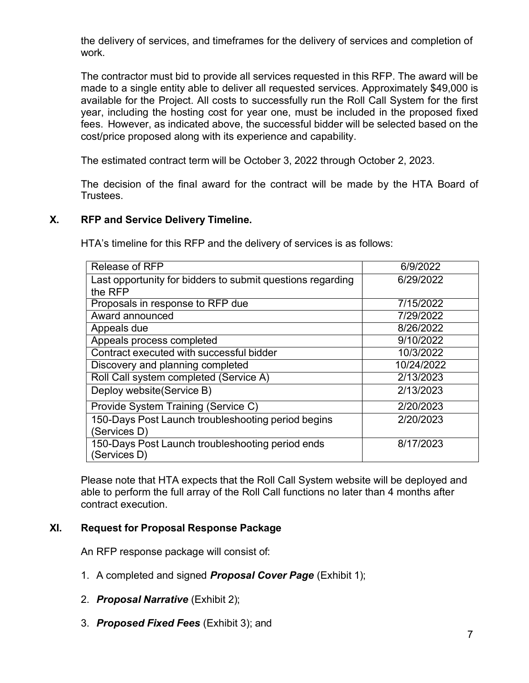the delivery of services, and timeframes for the delivery of services and completion of work.

The contractor must bid to provide all services requested in this RFP. The award will be made to a single entity able to deliver all requested services. Approximately \$49,000 is available for the Project. All costs to successfully run the Roll Call System for the first year, including the hosting cost for year one, must be included in the proposed fixed fees. However, as indicated above, the successful bidder will be selected based on the cost/price proposed along with its experience and capability.

The estimated contract term will be October 3, 2022 through October 2, 2023.

The decision of the final award for the contract will be made by the HTA Board of Trustees.

### X. RFP and Service Delivery Timeline.

HTA's timeline for this RFP and the delivery of services is as follows:

| Release of RFP                                                   | 6/9/2022   |
|------------------------------------------------------------------|------------|
| Last opportunity for bidders to submit questions regarding       | 6/29/2022  |
| the RFP                                                          |            |
| Proposals in response to RFP due                                 | 7/15/2022  |
| Award announced                                                  | 7/29/2022  |
| Appeals due                                                      | 8/26/2022  |
| Appeals process completed                                        | 9/10/2022  |
| Contract executed with successful bidder                         | 10/3/2022  |
| Discovery and planning completed                                 | 10/24/2022 |
| Roll Call system completed (Service A)                           | 2/13/2023  |
| Deploy website(Service B)                                        | 2/13/2023  |
| Provide System Training (Service C)                              | 2/20/2023  |
| 150-Days Post Launch troubleshooting period begins               | 2/20/2023  |
| (Services D)                                                     |            |
| 150-Days Post Launch troubleshooting period ends<br>(Services D) | 8/17/2023  |

Please note that HTA expects that the Roll Call System website will be deployed and able to perform the full array of the Roll Call functions no later than 4 months after contract execution.

### XI. Request for Proposal Response Package

An RFP response package will consist of:

- 1. A completed and signed **Proposal Cover Page** (Exhibit 1);
- 2. Proposal Narrative (Exhibit 2);
- 3. Proposed Fixed Fees (Exhibit 3); and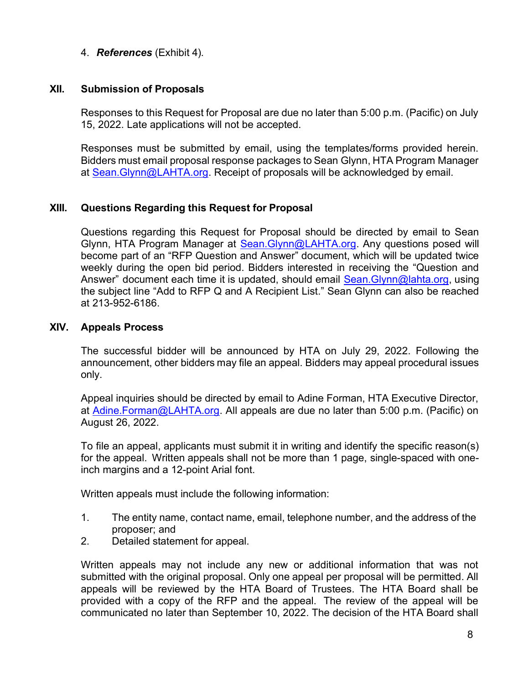4. References (Exhibit 4).

### XII. Submission of Proposals

Responses to this Request for Proposal are due no later than 5:00 p.m. (Pacific) on July 15, 2022. Late applications will not be accepted.

Responses must be submitted by email, using the templates/forms provided herein. Bidders must email proposal response packages to Sean Glynn, HTA Program Manager at Sean. Glynn@LAHTA.org. Receipt of proposals will be acknowledged by email.

## XIII. Questions Regarding this Request for Proposal

Questions regarding this Request for Proposal should be directed by email to Sean Glynn, HTA Program Manager at Sean.Glynn@LAHTA.org. Any questions posed will become part of an "RFP Question and Answer" document, which will be updated twice weekly during the open bid period. Bidders interested in receiving the "Question and Answer" document each time it is updated, should email Sean. Glynn@lahta.org, using the subject line "Add to RFP Q and A Recipient List." Sean Glynn can also be reached at 213-952-6186.

### XIV. Appeals Process

The successful bidder will be announced by HTA on July 29, 2022. Following the announcement, other bidders may file an appeal. Bidders may appeal procedural issues only.

Appeal inquiries should be directed by email to Adine Forman, HTA Executive Director, at Adine.Forman@LAHTA.org. All appeals are due no later than 5:00 p.m. (Pacific) on August 26, 2022.

To file an appeal, applicants must submit it in writing and identify the specific reason(s) for the appeal. Written appeals shall not be more than 1 page, single-spaced with oneinch margins and a 12-point Arial font.

Written appeals must include the following information:

- 1. The entity name, contact name, email, telephone number, and the address of the proposer; and
- 2. Detailed statement for appeal.

Written appeals may not include any new or additional information that was not submitted with the original proposal. Only one appeal per proposal will be permitted. All appeals will be reviewed by the HTA Board of Trustees. The HTA Board shall be provided with a copy of the RFP and the appeal. The review of the appeal will be communicated no later than September 10, 2022. The decision of the HTA Board shall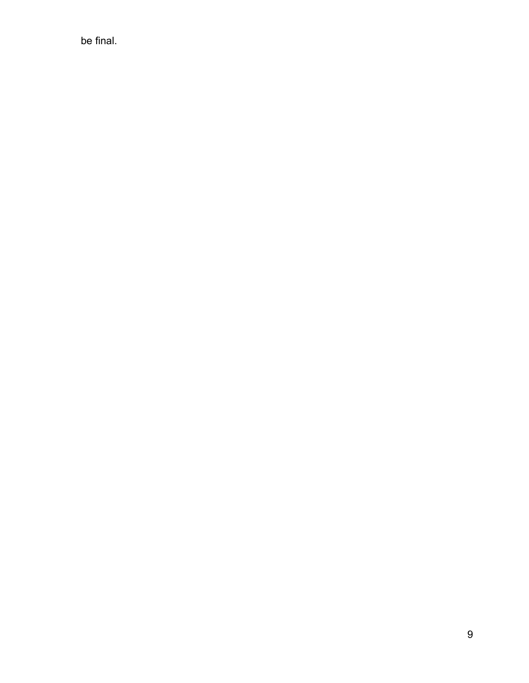be final.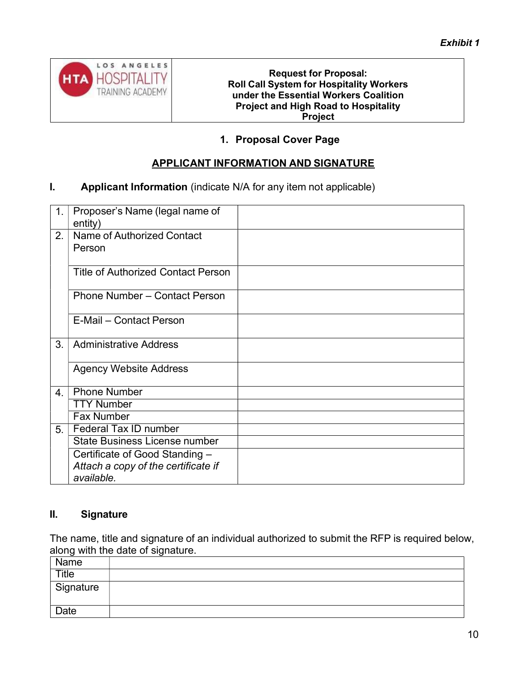

#### Request for Proposal: Roll Call System for Hospitality Workers under the Essential Workers Coalition Project and High Road to Hospitality Project

# 1. Proposal Cover Page

## APPLICANT INFORMATION AND SIGNATURE

### **I.** Applicant Information (indicate N/A for any item not applicable)

| 1.               | Proposer's Name (legal name of<br>entity) |  |
|------------------|-------------------------------------------|--|
| 2.               | Name of Authorized Contact<br>Person      |  |
|                  | <b>Title of Authorized Contact Person</b> |  |
|                  | <b>Phone Number - Contact Person</b>      |  |
|                  | E-Mail - Contact Person                   |  |
| 3.               | <b>Administrative Address</b>             |  |
|                  | <b>Agency Website Address</b>             |  |
| $\overline{4}$ . | <b>Phone Number</b>                       |  |
|                  | <b>TTY Number</b>                         |  |
|                  | <b>Fax Number</b>                         |  |
| 5 <sub>1</sub>   | Federal Tax ID number                     |  |
|                  | <b>State Business License number</b>      |  |
|                  | Certificate of Good Standing -            |  |
|                  | Attach a copy of the certificate if       |  |
|                  | available.                                |  |

## II. Signature

The name, title and signature of an individual authorized to submit the RFP is required below, along with the date of signature.

| $\tilde{\phantom{a}}$<br>Name | . . |
|-------------------------------|-----|
| Title                         |     |
| Signature                     |     |
| <b>Date</b>                   |     |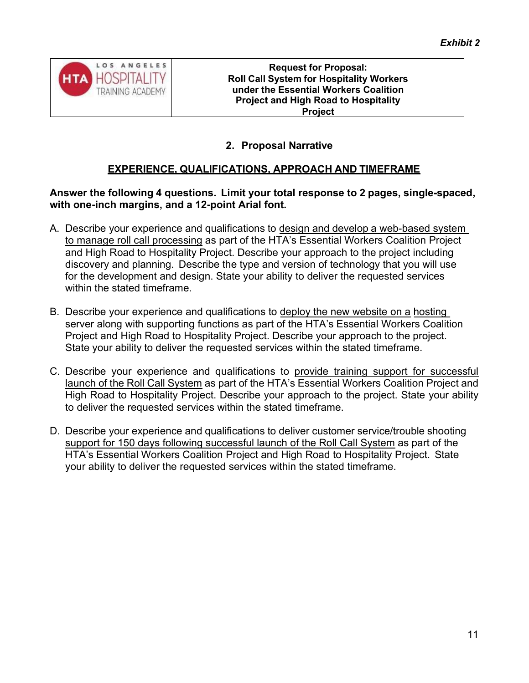

## 2. Proposal Narrative

## EXPERIENCE, QUALIFICATIONS, APPROACH AND TIMEFRAME

### Answer the following 4 questions. Limit your total response to 2 pages, single-spaced, with one-inch margins, and a 12-point Arial font.

- A. Describe your experience and qualifications to design and develop a web-based system to manage roll call processing as part of the HTA's Essential Workers Coalition Project and High Road to Hospitality Project. Describe your approach to the project including discovery and planning. Describe the type and version of technology that you will use for the development and design. State your ability to deliver the requested services within the stated timeframe.
- B. Describe your experience and qualifications to deploy the new website on a hosting server along with supporting functions as part of the HTA's Essential Workers Coalition Project and High Road to Hospitality Project. Describe your approach to the project. State your ability to deliver the requested services within the stated timeframe.
- C. Describe your experience and qualifications to provide training support for successful launch of the Roll Call System as part of the HTA's Essential Workers Coalition Project and High Road to Hospitality Project. Describe your approach to the project. State your ability to deliver the requested services within the stated timeframe.
- D. Describe your experience and qualifications to deliver customer service/trouble shooting support for 150 days following successful launch of the Roll Call System as part of the HTA's Essential Workers Coalition Project and High Road to Hospitality Project. State your ability to deliver the requested services within the stated timeframe.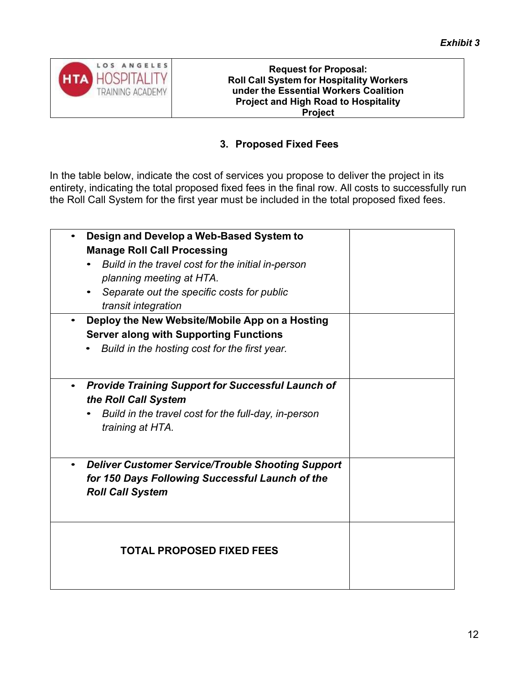

Request for Proposal: Roll Call System for Hospitality Workers under the Essential Workers Coalition Project and High Road to Hospitality Project

# 3. Proposed Fixed Fees

In the table below, indicate the cost of services you propose to deliver the project in its entirety, indicating the total proposed fixed fees in the final row. All costs to successfully run the Roll Call System for the first year must be included in the total proposed fixed fees.

| Design and Develop a Web-Based System to<br><b>Manage Roll Call Processing</b><br>Build in the travel cost for the initial in-person<br>planning meeting at HTA.<br>Separate out the specific costs for public<br>transit integration |  |
|---------------------------------------------------------------------------------------------------------------------------------------------------------------------------------------------------------------------------------------|--|
| Deploy the New Website/Mobile App on a Hosting<br><b>Server along with Supporting Functions</b><br>Build in the hosting cost for the first year.                                                                                      |  |
| <b>Provide Training Support for Successful Launch of</b><br>the Roll Call System<br>Build in the travel cost for the full-day, in-person<br>training at HTA.                                                                          |  |
| <b>Deliver Customer Service/Trouble Shooting Support</b><br>for 150 Days Following Successful Launch of the<br><b>Roll Call System</b>                                                                                                |  |
| <b>TOTAL PROPOSED FIXED FEES</b>                                                                                                                                                                                                      |  |